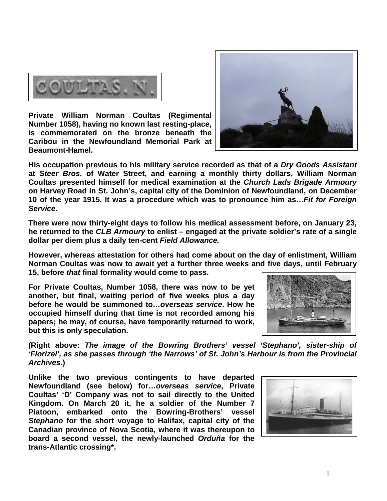

**Private William Norman Coultas (Regimental Number 1058), having no known last resting-place, is commemorated on the bronze beneath the Caribou in the Newfoundland Memorial Park at Beaumont-Hamel.** 



**His occupation previous to his military service recorded as that of a** *Dry Goods Assistant* **at** *Steer Bros.* **of Water Street, and earning a monthly thirty dollars, William Norman Coultas presented himself for medical examination at the** *Church Lads Brigade Armoury* **on Harvey Road in St. John's, capital city of the Dominion of Newfoundland, on December 10 of the year 1915. It was a procedure which was to pronounce him as…***Fit for Foreign Service***.** 

**There were now thirty-eight days to follow his medical assessment before, on January 23, he returned to the** *CLB Armoury* **to enlist – engaged at the private soldier's rate of a single dollar per diem plus a daily ten-cent** *Field Allowance.*

**However, whereas attestation for others had come about on the day of enlistment, William Norman Coultas was now to await yet a further three weeks and five days, until February 15, before** *that* **final formality would come to pass.**

**For Private Coultas, Number 1058, there was now to be yet another, but final, waiting period of five weeks plus a day before he would be summoned to…***overseas service***. How he occupied himself during that time is not recorded among his papers; he may, of course, have temporarily returned to work, but this is only speculation.**



**(Right above:** *The image of the Bowring Brothers' vessel 'Stephano', sister-ship of 'Florizel', as she passes through 'the Narrows' of St. John's Harbour is from the Provincial Archives***.)** 

**Unlike the two previous contingents to have departed Newfoundland (see below) for…***overseas service***, Private Coultas' 'D' Company was not to sail directly to the United Kingdom. On March 20 it, he a soldier of the Number 7 Platoon, embarked onto the Bowring-Brothers' vessel**  *Stephano* **for the short voyage to Halifax, capital city of the Canadian province of Nova Scotia, where it was thereupon to board a second vessel, the newly-launched** *Orduña* **for the trans-Atlantic crossing\*.**

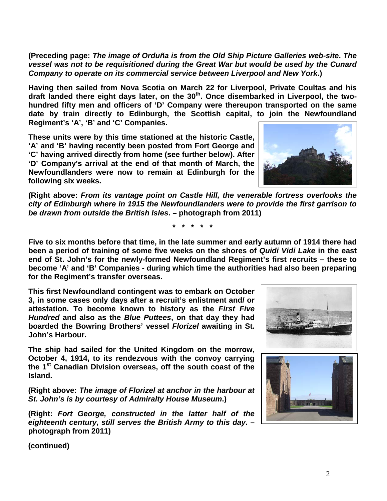2

**(Preceding page:** *The image of Orduña is from the Old Ship Picture Galleries web-site***.** *The vessel was not to be requisitioned during the Great War but would be used by the Cunard Company to operate on its commercial service between Liverpool and New York***.)**

**Having then sailed from Nova Scotia on March 22 for Liverpool, Private Coultas and his**  draft landed there eight days later, on the 30<sup>th</sup>. Once disembarked in Liverpool, the two**hundred fifty men and officers of 'D' Company were thereupon transported on the same date by train directly to Edinburgh, the Scottish capital, to join the Newfoundland Regiment's 'A', 'B' and 'C' Companies.** 

**These units were by this time stationed at the historic Castle, 'A' and 'B' having recently been posted from Fort George and 'C' having arrived directly from home (see further below). After 'D' Company's arrival at the end of that month of March, the Newfoundlanders were now to remain at Edinburgh for the following six weeks.** 

**(Right above:** *From its vantage point on Castle Hill, the venerable fortress overlooks the city of Edinburgh where in 1915 the Newfoundlanders were to provide the first garrison to be drawn from outside the British Isles***. – photograph from 2011)** 

**\* \* \* \* \***

**Five to six months before that time, in the late summer and early autumn of 1914 there had been a period of training of some five weeks on the shores of** *Quidi Vidi Lake* **in the east end of St. John's for the newly-formed Newfoundland Regiment's first recruits – these to become 'A' and 'B' Companies - during which time the authorities had also been preparing for the Regiment's transfer overseas.**

**This first Newfoundland contingent was to embark on October 3, in some cases only days after a recruit's enlistment and/ or attestation. To become known to history as the** *First Five Hundred* **and also as the** *Blue Puttees***, on that day they had boarded the Bowring Brothers' vessel** *Florizel* **awaiting in St. John's Harbour.**

**The ship had sailed for the United Kingdom on the morrow, October 4, 1914, to its rendezvous with the convoy carrying the 1st Canadian Division overseas, off the south coast of the Island.** 

**(Right above:** *The image of Florizel at anchor in the harbour at St. John's is by courtesy of Admiralty House Museum***.)**

**(Right:** *Fort George, constructed in the latter half of the eighteenth century, still serves the British Army to this day***. – photograph from 2011)**





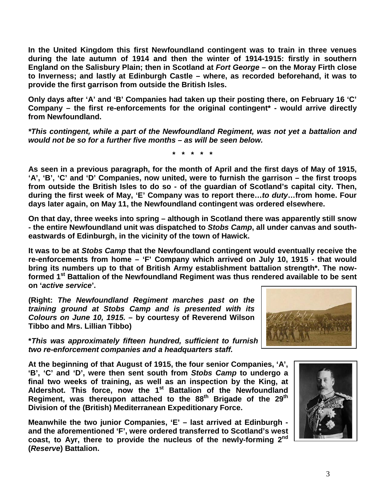**In the United Kingdom this first Newfoundland contingent was to train in three venues during the late autumn of 1914 and then the winter of 1914-1915: firstly in southern England on the Salisbury Plain; then in Scotland at** *Fort George* **– on the Moray Firth close to Inverness; and lastly at Edinburgh Castle – where, as recorded beforehand, it was to provide the first garrison from outside the British Isles.** 

**Only days after 'A' and 'B' Companies had taken up their posting there, on February 16 'C' Company – the first re-enforcements for the original contingent\* - would arrive directly from Newfoundland.**

*\*This contingent, while a part of the Newfoundland Regiment, was not yet a battalion and would not be so for a further five months – as will be seen below.*

**\* \* \* \* \***

**As seen in a previous paragraph, for the month of April and the first days of May of 1915, 'A', 'B', 'C' and 'D' Companies, now united, were to furnish the garrison – the first troops from outside the British Isles to do so - of the guardian of Scotland's capital city. Then, during the first week of May, 'E' Company was to report there…***to duty***…from home. Four days later again, on May 11, the Newfoundland contingent was ordered elsewhere.** 

**On that day, three weeks into spring – although in Scotland there was apparently still snow - the entire Newfoundland unit was dispatched to** *Stobs Camp***, all under canvas and southeastwards of Edinburgh, in the vicinity of the town of Hawick.**

**It was to be at** *Stobs Camp* **that the Newfoundland contingent would eventually receive the re-enforcements from home – 'F' Company which arrived on July 10, 1915 - that would bring its numbers up to that of British Army establishment battalion strength\*. The nowformed 1st Battalion of the Newfoundland Regiment was thus rendered available to be sent on '***active service***'.**

**(Right:** *The Newfoundland Regiment marches past on the training ground at Stobs Camp and is presented with its Colours on June 10, 1915.* **– by courtesy of Reverend Wilson Tibbo and Mrs. Lillian Tibbo)**

**\****This was approximately fifteen hundred, sufficient to furnish four 'fighting' companies, two re-enforcement companies and a headquarters staff.*

**At the beginning of that August of 1915, the four senior Companies, 'A', 'B', 'C' and 'D', were then sent south from** *Stobs Camp* **to undergo a final two weeks of training, as well as an inspection by the King, at Aldershot. This force, now the 1st Battalion of the Newfoundland Regiment, was thereupon attached to the 88th Brigade of the 29th Division of the (British) Mediterranean Expeditionary Force.**

**Meanwhile the two junior Companies, 'E' – last arrived at Edinburgh and the aforementioned 'F', were ordered transferred to Scotland's west coast, to Ayr, there to provide the nucleus of the newly-forming 2nd (***Reserve***) Battalion.**



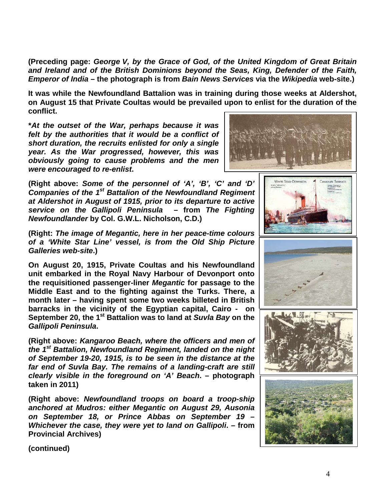**(Preceding page:** *George V, by the Grace of God, of the United Kingdom of Great Britain and Ireland and of the British Dominions beyond the Seas, King, Defender of the Faith, Emperor of India* **– the photograph is from** *Bain News Services* **via the** *Wikipedia* **web-site.)**

**It was while the Newfoundland Battalion was in training during those weeks at Aldershot, on August 15 that Private Coultas would be prevailed upon to enlist for the duration of the conflict.**

**\****At the outset of the War, perhaps because it was felt by the authorities that it would be a conflict of short duration, the recruits enlisted for only a single year. As the War progressed, however, this was obviously going to cause problems and the men were encouraged to re-enlist***.**

**(Right above:** *Some of the personnel of 'A', 'B', 'C' and 'D' Companies of the 1st Battalion of the Newfoundland Regiment at Aldershot in August of 1915, prior to its departure to active service on the Gallipoli Peninsula* **– from** *The Fighting Newfoundlander* **by Col. G.W.L. Nicholson, C.D.)**

**(Right:** *The image of Megantic, here in her peace-time colours of a 'White Star Line' vessel, is from the Old Ship Picture Galleries web-site***.)**

**On August 20, 1915, Private Coultas and his Newfoundland unit embarked in the Royal Navy Harbour of Devonport onto the requisitioned passenger-liner** *Megantic* **for passage to the Middle East and to the fighting against the Turks. There, a month later – having spent some two weeks billeted in British barracks in the vicinity of the Egyptian capital, Cairo - on September 20, the 1st Battalion was to land at** *Suvla Bay* **on the**  *Gallipoli Peninsula***.**

**(Right above:** *Kangaroo Beach, where the officers and men of the 1st Battalion, Newfoundland Regiment, landed on the night of September 19-20, 1915, is to be seen in the distance at the far end of Suvla Bay. The remains of a landing-craft are still clearly visible in the foreground on 'A' Beach***. – photograph taken in 2011)**

**(Right above:** *Newfoundland troops on board a troop-ship anchored at Mudros: either Megantic on August 29, Ausonia on September 18, or Prince Abbas on September 19 – Whichever the case, they were yet to land on Gallipoli***. – from Provincial Archives)**

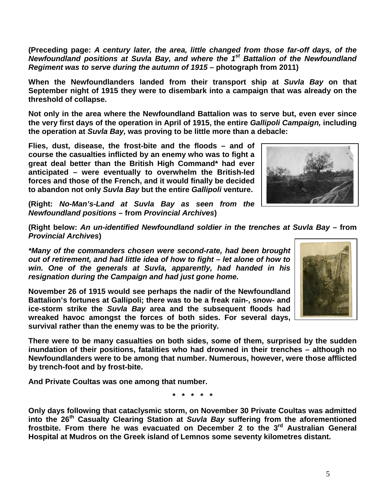**(Preceding page:** *A century later, the area, little changed from those far-off days, of the Newfoundland positions at Suvla Bay, and where the 1st Battalion of the Newfoundland Regiment was to serve during the autumn of 1915* **– photograph from 2011)**

**When the Newfoundlanders landed from their transport ship at** *Suvla Bay* **on that September night of 1915 they were to disembark into a campaign that was already on the threshold of collapse.**

**Not only in the area where the Newfoundland Battalion was to serve but, even ever since the very first days of the operation in April of 1915, the entire** *Gallipoli Campaign,* **including the operation at** *Suvla Bay,* **was proving to be little more than a debacle:** 

**Flies, dust, disease, the frost-bite and the floods – and of course the casualties inflicted by an enemy who was to fight a great deal better than the British High Command\* had ever anticipated – were eventually to overwhelm the British-led forces and those of the French, and it would finally be decided to abandon not only** *Suvla Bay* **but the entire** *Gallipoli* **venture.**



**(Right:** *No-Man's-Land at Suvla Bay as seen from the Newfoundland positions* **– from** *Provincial Archives***)**

**(Right below:** *An un-identified Newfoundland soldier in the trenches at Suvla Bay –* **from**  *Provincial Archives***)**

*\*Many of the commanders chosen were second-rate, had been brought out of retirement, and had little idea of how to fight – let alone of how to win. One of the generals at Suvla, apparently, had handed in his resignation during the Campaign and had just gone home.*

**November 26 of 1915 would see perhaps the nadir of the Newfoundland Battalion's fortunes at Gallipoli; there was to be a freak rain-, snow- and ice-storm strike the** *Suvla Bay* **area and the subsequent floods had wreaked havoc amongst the forces of both sides. For several days, survival rather than the enemy was to be the priority.**

**There were to be many casualties on both sides, some of them, surprised by the sudden inundation of their positions, fatalities who had drowned in their trenches – although no Newfoundlanders were to be among that number. Numerous, however, were those afflicted by trench-foot and by frost-bite.**

**And Private Coultas was one among that number.**

**\* \* \* \* \***

**Only days following that cataclysmic storm, on November 30 Private Coultas was admitted into the 26th Casualty Clearing Station at** *Suvla Bay* **suffering from the aforementioned frostbite. From there he was evacuated on December 2 to the 3rd Australian General Hospital at Mudros on the Greek island of Lemnos some seventy kilometres distant.**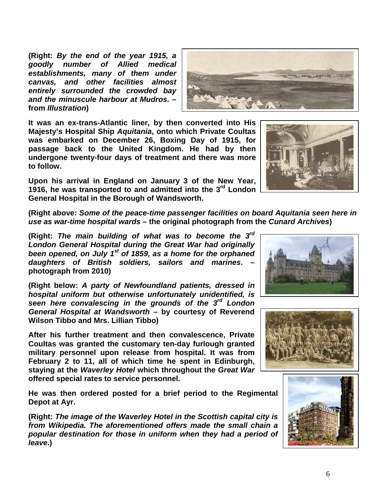**(Right:** *By the end of the year 1915, a goodly number of Allied medical establishments, many of them under canvas, and other facilities almost entirely surrounded the crowded bay and the minuscule harbour at Mudros.* **– from** *Illustration***)**

**It was an ex-trans-Atlantic liner, by then converted into His Majesty's Hospital Ship** *Aquitania***, onto which Private Coultas was embarked on December 26, Boxing Day of 1915, for passage back to the United Kingdom. He had by then undergone twenty-four days of treatment and there was more to follow.**

**Upon his arrival in England on January 3 of the New Year, 1916, he was transported to and admitted into the 3rd London General Hospital in the Borough of Wandsworth.**

**(Right above:** *Some of the peace-time passenger facilities on board Aquitania seen here in use as war-time hospital wards* **– the original photograph from the** *Cunard Archives***)**

**(Right:** *The main building of what was to become the 3rd London General Hospital during the Great War had originally been opened, on July 1st of 1859, as a home for the orphaned daughters of British soldiers, sailors and marines***. – photograph from 2010)**

**(Right below:** *A party of Newfoundland patients, dressed in hospital uniform but otherwise unfortunately unidentified, is seen here convalescing in the grounds of the 3rd London General Hospital at Wandsworth –* **by courtesy of Reverend Wilson Tibbo and Mrs. Lillian Tibbo)**

**After his further treatment and then convalescence, Private Coultas was granted the customary ten-day furlough granted military personnel upon release from hospital. It was from February 2 to 11, all of which time he spent in Edinburgh, staying at the** *Waverley Hotel* **which throughout the** *Great War* **offered special rates to service personnel.**

**He was then ordered posted for a brief period to the Regimental Depot at Ayr.**

**(Right:** *The image of the Waverley Hotel in the Scottish capital city is from Wikipedia. The aforementioned offers made the small chain a popular destination for those in uniform when they had a period of leave***.)**







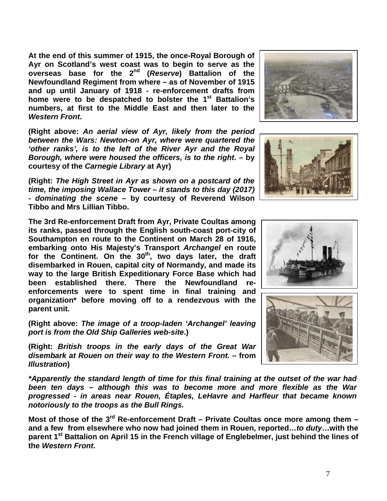**At the end of this summer of 1915, the once-Royal Borough of Ayr on Scotland's west coast was to begin to serve as the overseas base for the 2nd (***Reserve***) Battalion of the Newfoundland Regiment from where – as of November of 1915 and up until January of 1918 - re-enforcement drafts from home were to be despatched to bolster the 1st Battalion's numbers, at first to the Middle East and then later to the**  *Western Front***.**

**(Right above:** *An aerial view of Ayr, likely from the period between the Wars: Newton-on Ayr, where were quartered the 'other ranks', is to the left of the River Ayr and the Royal Borough, where were housed the officers, is to the right***. – by courtesy of the** *Carnegie Library* **at Ayr)**

**(Right:** *The High Street in Ayr as shown on a postcard of the time, the imposing Wallace Tower – it stands to this day (2017) - dominating the scene* **– by courtesy of Reverend Wilson Tibbo and Mrs Lillian Tibbo.**

**The 3rd Re-enforcement Draft from Ayr, Private Coultas among its ranks, passed through the English south-coast port-city of Southampton en route to the Continent on March 28 of 1916, embarking onto His Majesty's Transport** *Archangel* **en route**  for the Continent. On the 30<sup>th</sup>, two days later, the draft **disembarked in Rouen, capital city of Normandy, and made its way to the large British Expeditionary Force Base which had been established there. There the Newfoundland reenforcements were to spent time in final training and organization\* before moving off to a rendezvous with the parent unit.**

**(Right above:** *The image of a troop-laden 'Archangel' leaving port is from the Old Ship Galleries web-site***.)**

**(Right:** *British troops in the early days of the Great War disembark at Rouen on their way to the Western Front. –* **from**  *Illustration***)**

*\*Apparently the standard length of time for this final training at the outset of the war had been ten days – although this was to become more and more flexible as the War progressed - in areas near Rouen, Étaples, LeHavre and Harfleur that became known notoriously to the troops as the Bull Rings.*

**Most of those of the 3rd Re-enforcement Draft – Private Coultas once more among them – and a few from elsewhere who now had joined them in Rouen, reported…***to duty***…with the parent 1st Battalion on April 15 in the French village of Englebelmer, just behind the lines of the** *Western Front***.**







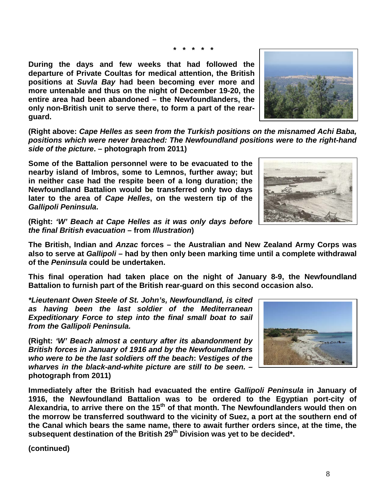8

**\* \* \* \* \***

**During the days and few weeks that had followed the departure of Private Coultas for medical attention, the British positions at** *Suvla Bay* **had been becoming ever more and more untenable and thus on the night of December 19-20, the entire area had been abandoned – the Newfoundlanders, the only non-British unit to serve there, to form a part of the rearguard.** 

**(Right above:** *Cape Helles as seen from the Turkish positions on the misnamed Achi Baba, positions which were never breached: The Newfoundland positions were to the right-hand side of the picture***. – photograph from 2011)**

**Some of the Battalion personnel were to be evacuated to the nearby island of Imbros, some to Lemnos, further away; but in neither case had the respite been of a long duration; the Newfoundland Battalion would be transferred only two days later to the area of** *Cape Helles***, on the western tip of the**  *Gallipoli Peninsula***.**

**(Right:** *'W' Beach at Cape Helles as it was only days before the final British evacuation* **– from** *Illustration***)**

**The British, Indian and** *Anzac* **forces – the Australian and New Zealand Army Corps was also to serve at** *Gallipoli* **– had by then only been marking time until a complete withdrawal of the** *Peninsula* **could be undertaken.** 

**This final operation had taken place on the night of January 8-9, the Newfoundland Battalion to furnish part of the British rear-guard on this second occasion also.**

*\*Lieutenant Owen Steele of St. John's, Newfoundland, is cited as having been the last soldier of the Mediterranean Expeditionary Force to step into the final small boat to sail from the Gallipoli Peninsula.*

**(Right:** *'W' Beach almost a century after its abandonment by British forces in January of 1916 and by the Newfoundlanders who were to be the last soldiers off the beach***:** *Vestiges of the wharves in the black-and-white picture are still to be seen.* **– photograph from 2011)**

**Immediately after the British had evacuated the entire** *Gallipoli Peninsula* **in January of 1916, the Newfoundland Battalion was to be ordered to the Egyptian port-city of Alexandria, to arrive there on the 15th of that month. The Newfoundlanders would then on the morrow be transferred southward to the vicinity of Suez, a port at the southern end of the Canal which bears the same name, there to await further orders since, at the time, the subsequent destination of the British 29th Division was yet to be decided\*.**





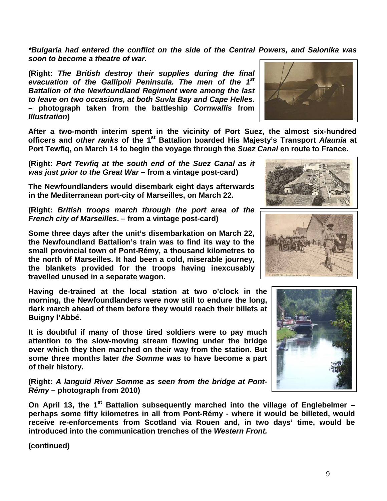*\*Bulgaria had entered the conflict on the side of the Central Powers, and Salonika was soon to become a theatre of war.*

**(Right:** *The British destroy their supplies during the final evacuation of the Gallipoli Peninsula. The men of the 1st Battalion of the Newfoundland Regiment were among the last to leave on two occasions, at both Suvla Bay and Cape Helles***. – photograph taken from the battleship** *Cornwallis* **from**  *Illustration***)**

**After a two-month interim spent in the vicinity of Port Suez, the almost six-hundred officers and** *other ranks* **of the 1st Battalion boarded His Majesty's Transport** *Alaunia* **at Port Tewfiq, on March 14 to begin the voyage through the** *Suez Canal* **en route to France.** 

**(Right:** *Port Tewfiq at the south end of the Suez Canal as it was just prior to the Great War* **– from a vintage post-card)**

**The Newfoundlanders would disembark eight days afterwards in the Mediterranean port-city of Marseilles, on March 22.**

**(Right:** *British troops march through the port area of the French city of Marseilles***. – from a vintage post-card)**

**Some three days after the unit's disembarkation on March 22, the Newfoundland Battalion's train was to find its way to the small provincial town of Pont-Rémy, a thousand kilometres to the north of Marseilles. It had been a cold, miserable journey, the blankets provided for the troops having inexcusably travelled unused in a separate wagon.**

**Having de-trained at the local station at two o'clock in the morning, the Newfoundlanders were now still to endure the long, dark march ahead of them before they would reach their billets at Buigny l'Abbé.**

**It is doubtful if many of those tired soldiers were to pay much attention to the slow-moving stream flowing under the bridge over which they then marched on their way from the station. But some three months later** *the Somme* **was to have become a part of their history.**

**(Right:** *A languid River Somme as seen from the bridge at Pont-Rémy* **– photograph from 2010)**

**On April 13, the 1st Battalion subsequently marched into the village of Englebelmer – perhaps some fifty kilometres in all from Pont-Rémy - where it would be billeted, would receive re-enforcements from Scotland via Rouen and, in two days' time, would be introduced into the communication trenches of the** *Western Front.*





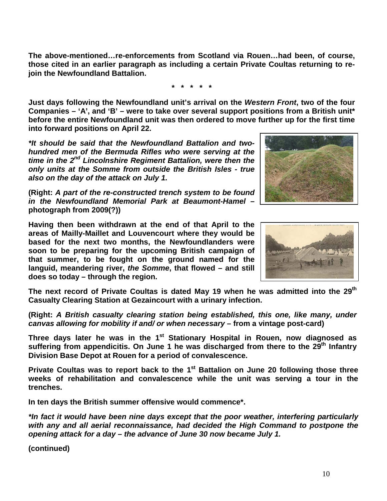**The above-mentioned…re-enforcements from Scotland via Rouen…had been, of course, those cited in an earlier paragraph as including a certain Private Coultas returning to rejoin the Newfoundland Battalion.**

**\* \* \* \* \***

**Just days following the Newfoundland unit's arrival on the** *Western Front***, two of the four Companies – 'A', and 'B' – were to take over several support positions from a British unit\* before the entire Newfoundland unit was then ordered to move further up for the first time into forward positions on April 22.**

*\*It should be said that the Newfoundland Battalion and twohundred men of the Bermuda Rifles who were serving at the time in the 2nd Lincolnshire Regiment Battalion, were then the only units at the Somme from outside the British Isles - true also on the day of the attack on July 1.*

**(Right:** *A part of the re-constructed trench system to be found in the Newfoundland Memorial Park at Beaumont-Hamel* **– photograph from 2009(?))**

**Having then been withdrawn at the end of that April to the areas of Mailly-Maillet and Louvencourt where they would be based for the next two months, the Newfoundlanders were soon to be preparing for the upcoming British campaign of that summer, to be fought on the ground named for the languid, meandering river,** *the Somme***, that flowed – and still does so today – through the region.**

**The next record of Private Coultas is dated May 19 when he was admitted into the 29th Casualty Clearing Station at Gezaincourt with a urinary infection.** 

**(Right:** *A British casualty clearing station being established, this one, like many, under canvas allowing for mobility if and/ or when necessary* **– from a vintage post-card)**

Three days later he was in the 1<sup>st</sup> Stationary Hospital in Rouen, now diagnosed as **suffering from appendicitis. On June 1 he was discharged from there to the 29th Infantry Division Base Depot at Rouen for a period of convalescence.** 

**Private Coultas was to report back to the 1st Battalion on June 20 following those three weeks of rehabilitation and convalescence while the unit was serving a tour in the trenches.**

**In ten days the British summer offensive would commence\*.**

*\*In fact it would have been nine days except that the poor weather, interfering particularly with any and all aerial reconnaissance, had decided the High Command to postpone the opening attack for a day – the advance of June 30 now became July 1.* 



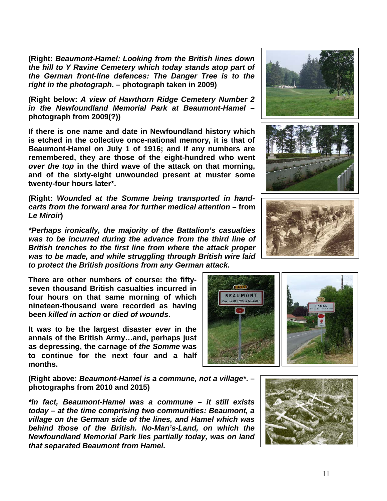**(Right:** *Beaumont-Hamel: Looking from the British lines down the hill to Y Ravine Cemetery which today stands atop part of the German front-line defences: The Danger Tree is to the right in the photograph***. – photograph taken in 2009)**

**(Right below:** *A view of Hawthorn Ridge Cemetery Number 2 in the Newfoundland Memorial Park at Beaumont-Hamel* **– photograph from 2009(?))**

**If there is one name and date in Newfoundland history which is etched in the collective once-national memory, it is that of Beaumont-Hamel on July 1 of 1916; and if any numbers are remembered, they are those of the eight-hundred who went**  *over the top* **in the third wave of the attack on that morning, and of the sixty-eight unwounded present at muster some twenty-four hours later\*.**

**(Right:** *Wounded at the Somme being transported in handcarts from the forward area for further medical attention* **– from**  *Le Miroir***)**

*\*Perhaps ironically, the majority of the Battalion's casualties was to be incurred during the advance from the third line of British trenches to the first line from where the attack proper was to be made, and while struggling through British wire laid to protect the British positions from any German attack.*

**There are other numbers of course: the fiftyseven thousand British casualties incurred in four hours on that same morning of which nineteen-thousand were recorded as having been** *killed in action* **or** *died of wounds***.** 

**It was to be the largest disaster** *ever* **in the annals of the British Army…and, perhaps just as depressing, the carnage of** *the Somme* **was to continue for the next four and a half months.**

**(Right above:** *Beaumont-Hamel is a commune, not a village\****. – photographs from 2010 and 2015)**

*\*In fact, Beaumont-Hamel was a commune – it still exists today – at the time comprising two communities: Beaumont, a village on the German side of the lines, and Hamel which was behind those of the British. No-Man's-Land, on which the Newfoundland Memorial Park lies partially today, was on land that separated Beaumont from Hamel.*